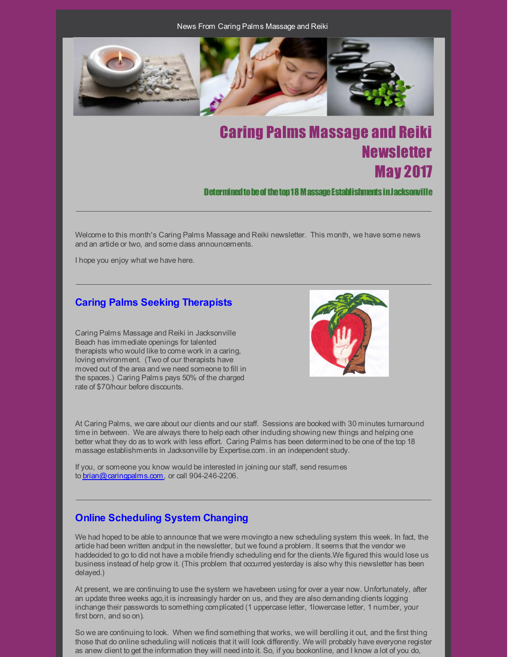News From Caring Palms Massage and Reiki



# Caring Palms Massage and Reiki **Newsletter** May 2017

Determined to be of the top 18 M assage Establishments in Jacksonville

Welcome to this month's Caring Palms Massage and Reiki newsletter. This month, we have some news and an article or two, and some class announcements.

I hope you enjoy what we have here.

## **Caring Palms Seeking Therapists**

Caring Palms Massage and Reiki in Jacksonville Beach has immediate openings for talented therapists who would like to come work in a caring, loving environment. (Two of our therapists have moved out of the area and we need someone to fill in the spaces.) Caring Palms pays 50% of the charged rate of \$70/hour before discounts.



At Caring Palms, we care about our clients and our staff. Sessions are booked with 30 minutes turnaround time in between. We are always there to help each other induding showing new things and helping one better what they do as to work with less effort. Caring Palms has been determined to be one of the top 18 massage establishments in Jacksonville by Expertise.com. in an independent study.

If you, or someone you know would be interested in joining our staff, send resumes to [brian@caringpalms.com](mailto:brian@caringpalms.com), or call 904-246-2206.

# **Online Scheduling System Changing**

We had hoped to be able to announce that we were movingto a new scheduling system this week. In fact, the article had been written andput in the newsletter, but we found a problem. It seems that the vendor we haddecided to go to did not have a mobile friendly scheduling end for the clients.We figured this would lose us business instead of help grow it. (This problem that occurred yesterday is also why this newsletter has been delayed.)

At present, we are continuing to use the system we havebeen using for over a year now. Unfortunately, after an update three weeks ago, it is increasingly harder on us, and they are also demanding dients logging inchange their passwords to something complicated (1 uppercase letter, 1lowercase letter, 1 number, your first born, and so on).

So we are continuing to look. When we find something that works, we will berolling it out, and the first thing those that do online scheduling will noticeis that it will look differently. We will probably have everyone register as anew client to get the information they will need into it. So, if you bookonline, and I know a lot of you do,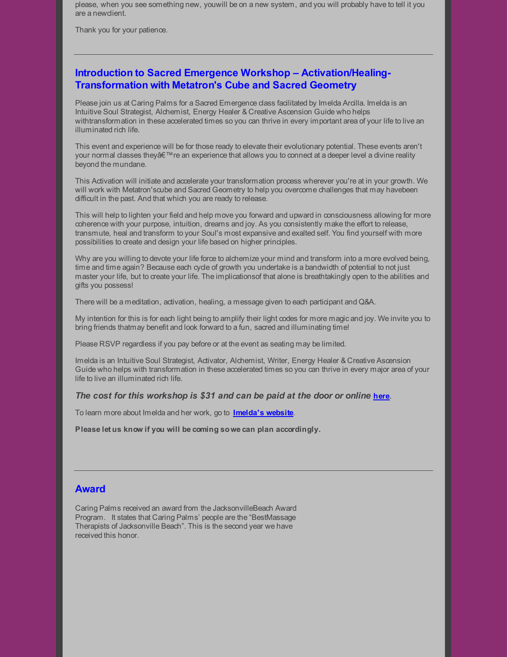please, when you see something new, youwill be on a new system, and you will probably have to tell it you are a newclient.

Thank you for your patience.

## **Introduction to Sacred Emergence Workshop – Activation/Healing-Transformation with Metatron's Cube and Sacred Geometry**

Please join us at Caring Palms for a Sacred Emergence class facilitated by Imelda Arcilla. Imelda is an Intuitive Soul Strategist, Alchemist, Energy Healer & Creative Ascension Guide who helps withtransformation in these accelerated times so you can thrive in every important area of your life to live an illuminated rich life.

This event and experience will be for those ready to elevate their evolutionary potential. These events aren't your normal classes they're an experience that allows you to connect at a deeper level a divine reality beyond the mundane.

This Activation will initiate and accelerate your transformation process wherever you're at in your growth. We will work with Metatron'scube and Sacred Geometry to help you overcome challenges that may havebeen difficult in the past. And that which you are ready to release.

This will help to lighten your field and help move you forward and upward in consciousness allowing for more coherence with your purpose, intuition, dreams and joy. As you consistently make the effort to release, transmute, heal and transform to your Soul's most expansive and exalted self. You find yourself with more possibilities to create and design your life based on higher principles.

Why are you willing to devote your life force to alchemize your mind and transform into a more evolved being, time and time again? Because each cycle of growth you undertake is a bandwidth of potential to not just master your life, but to create your life. The implicationsof that alone is breathtakingly open to the abilities and gifts you possess!

There will be a meditation, activation, healing, a message given to each participant and Q&A.

My intention for this is for each light being to amplify their light codes for more magic and joy. We invite you to bring friends thatmay benefit and look forward to a fun, sacred and illuminating time!

Please RSVP regardless if you pay before or at the event as seating may be limited.

Imelda is an Intuitive Soul Strategist, Activator, Alchemist, Writer, Energy Healer & Creative Ascension Guide who helps with transformation in these accelerated times so you can thrive in every major area of your life to live an illuminated rich life.

## *The cost for this workshop is \$31 and can be paid at the door or online* **[here](https://www.universe.com/events/sacred-emergence-activation-healing-transformation-with-metatron-s-cube-tickets-V89Z5B)**.

To learn more about Imelda and her work, go to **[Imelda's](http://imeldaarcilla.com/) website**.

**Please let us know if you will be coming sowe can plan accordingly.**

## **Award**

Caring Palms received an award from the JacksonvilleBeach Award Program. It states that Caring Palms' people are the "BestMassage Therapists of Jacksonville Beach". This is the second year we have received this honor.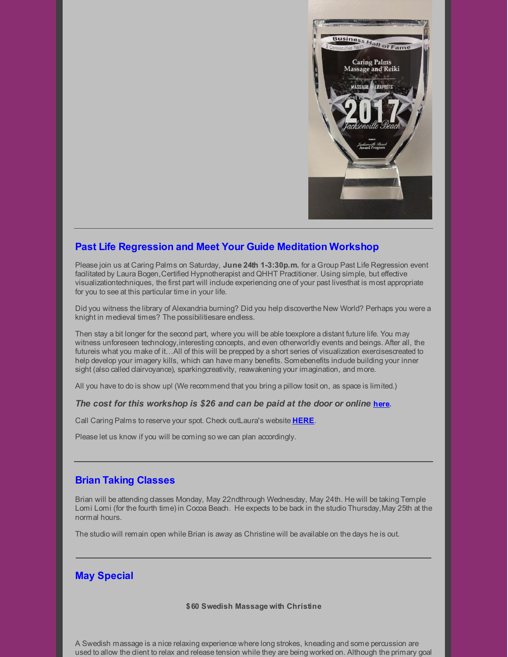

## **Past Life Regression and Meet Your Guide Meditation Workshop**

Please join us at Caring Palms on Saturday, **June 24th 1-3:30p.m.** for a Group Past Life Regression event facilitated by Laura Bogen,Certified Hypnotherapist and QHHT Practitioner. Using simple, but effective visualizationtechniques, the first part will include experiencing one of your past livesthat is most appropriate for you to see at this particular time in your life.

Did you witness the library of Alexandria burning? Did you help discoverthe New World? Perhaps you were a knight in medieval times? The possibilitiesare endless.

Then stay a bit longer for the second part, where you will be able toexplore a distant future life. You may witness unforeseen technology,interesting concepts, and even otherworldly events and beings. After all, the futureis what you make of it...All of this will be prepped by a short series of visualization exercisescreated to help develop your imagery kills, which can have many benefits. Somebenefits indude building your inner sight (also called dairvoyance), sparkingcreativity, reawakening your imagination, and more.

All you have to do is show up! (We recommend that you bring a pillow tosit on, as space is limited.)

## *The cost for this workshop is \$26 and can be paid at the door or online* **[here](https://www.universe.com/events/group-past-life-regression-tickets-TNL2RC).**

Call Caring Palms to reserve your spot. Check outLaura's website **[HERE](http://www.newwavehypnosis.com/)**.

Please let us know if you will be coming so we can plan accordingly.

## **Brian Taking Classes**

Brian will be attending classes Monday, May 22ndthrough Wednesday, May 24th. He will be taking Temple Lomi Lomi (for the fourth time) in Cocoa Beach. He expects to be back in the studio Thursday, May 25th at the normal hours.

The studio will remain open while Brian is away as Christine will be available on the days he is out.

## **May Special**

#### **\$60 Swedish Massage with Christine**

A Swedish massage is a nice relaxing experience where long strokes, kneading and some percussion are used to allow the client to relax and release tension while they are being worked on. Although the primary goal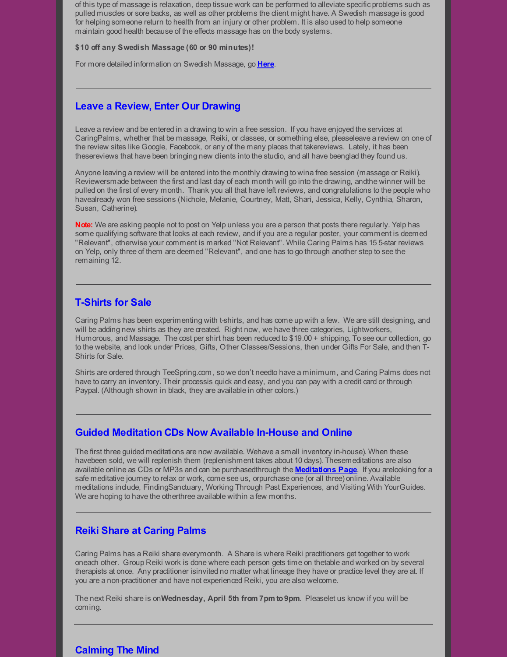of this type of massage is relaxation, deep tissue work can be performed to alleviate specific problems such as pulled muscles or sore backs, as well as other problems the client might have. A Swedish massage is good for helping someone return to health from an injury or other problem. It is also used to help someone maintain good health because of the effects massage has on the body systems.

#### **\$10 off any Swedish Massage (60 or 90 minutes)!**

For more detailed information on Swedish Massage, go **[Here](http://caringpalms.com/article_swedish.html)**.

## **Leave a Review, Enter Our Drawing**

Leave a review and be entered in a drawing to win a free session. If you have enjoyed the services at CaringPalms, whether that be massage, Reiki, or classes, or something else, pleaseleave a review on one of the review sites like Google, Facebook, or any of the many places that takereviews. Lately, it has been thesereviews that have been bringing new clients into the studio, and all have beenglad they found us.

Anyone leaving a review will be entered into the monthly drawing to wina free session (massage or Reiki). Reviewersmade between the first and last day of each month will go into the drawing, andthe winner will be pulled on the first of every month. Thank you all that have left reviews, and congratulations to the people who havealready won free sessions (Nichole, Melanie, Courtney, Matt, Shari, Jessica, Kelly, Cynthia, Sharon, Susan, Catherine).

**Note:** We are asking people not to post on Yelp unless you are a person that posts there regularly. Yelp has some qualifying software that looks at each review, and if you are a regular poster, your comment is deemed "Relevant", otherwise your comment is marked "Not Relevant". While Caring Palms has 15 5-star reviews on Yelp, only three of them are deemed "Relevant", and one has to go through another step to see the remaining 12.

## **T-Shirts for Sale**

Caring Palms has been experimenting with t-shirts, and has come up with a few. We are still designing, and will be adding new shirts as they are created. Right now, we have three categories, Lightworkers, Humorous, and Massage. The cost per shirt has been reduced to \$19.00 + shipping. To see our collection, go to the website, and look under Prices, Gifts, Other Classes/Sessions, then under Gifts For Sale, and then T-Shirts for Sale.

Shirts are ordered through TeeSpring.com, so we don't needto have a minimum, and Caring Palms does not have to carry an inventory. Their processis quick and easy, and you can pay with a credit card or through Paypal. (Although shown in black, they are available in other colors.)

## **Guided Meditation CDs Now Available In-House and Online**

The first three guided meditations are now available. Wehave a small inventory in-house). When these havebeen sold, we will replenish them (replenishment takes about 10 days). Thesemeditations are also available online as CDs or MP3s and can be purchasedthrough the **[Meditations](http://caringpalms.com/meditations.html) Page**. If you arelooking for a safe meditative journey to relax or work, come see us, orpurchase one (or all three) online. Available meditations include, FindingSanctuary, Working Through Past Experiences, and Visiting With YourGuides. We are hoping to have the otherthree available within a few months.

## **Reiki Share at Caring Palms**

Caring Palms has a Reiki share everymonth. A Share is where Reiki practitioners get together to work oneach other. Group Reiki work is done where each person gets time on thetable and worked on by several therapists at once. Any practitioner isinvited no matter what lineage they have or practice level they are at. If you are a non-practitioner and have not experienced Reiki, you are also welcome.

The next Reiki share is on**Wednesday, April 5th from 7pm to9pm**. Pleaselet us know if you will be coming.

# **Calming The Mind**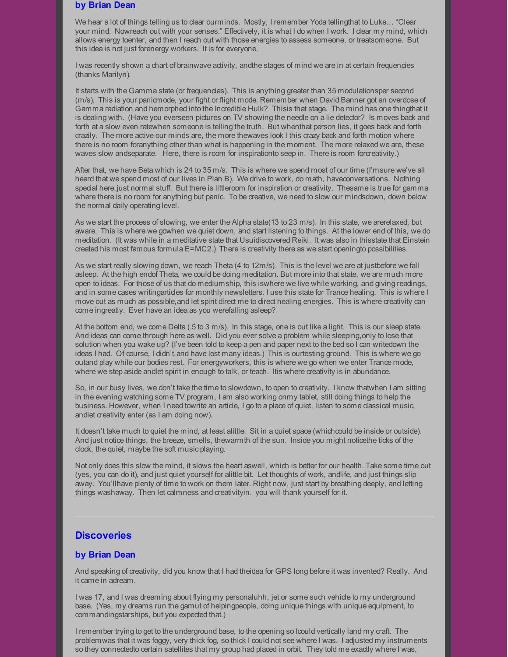## **by Brian Dean**

We hear a lot of things telling us to clear ourminds. Mostly, I remember Yoda tellingthat to Luke... "Clear your mind. Nowreach out with your senses." Effectively, it is what I do when I work. I clear my mind, which allows energy toenter, and then I reach out with those energies to assess someone, or treatsomeone. But this idea is not just forenergy workers. It is for everyone.

I was recently shown a chart of brainwave activity, andthe stages of mind we are in at certain frequencies (thanks Marilyn).

It starts with the Gamma state (or frequencies). This is anything greater than 35 modulationsper second (m/s). This is your panicmode, your fight or flight mode. Remember when David Banner got an overdose of Gamma radiation and hemorphed into the Incredible Hulk? Thisis that stage. The mind has one thingthat it is dealing with. (Have you everseen pictures on TV showing the needle on a lie detector? Is moves back and forth at a slow even ratewhen someone is telling the truth. But whenthat person lies, it goes back and forth crazily. The more active our minds are, the more thewaves look l this crazy back and forth motion where there is no room foranything other than what is happening in the moment. The more relaxed we are, these waves slow andseparate. Here, there is room for inspirationto seep in. There is room forcreativity.)

After that, we have Beta which is 24 to 35 m/s. This is where we spend most of our time (I'msure we've all heard that we spend most of our lives in Plan B). We drive to work, do math, haveconversations. Nothing special here,just normal stuff. But there is littleroom for inspiration or creativity. Thesame is true for gamma where there is no room for anything but panic. To be creative, we need to slow our mindsdown, down below the normal daily operating level.

As we start the process of slowing, we enter the Alpha state(13 to 23 m/s). In this state, we arerelaxed, but aware. This is where we gowhen we quiet down, and start listening to things. At the lower end of this, we do meditation. (It was while in a meditative state that Usuidiscovered Reiki. It was also in thisstate that Einstein created his most famous formula E=MC2.) There is creativity there as we start openingto possibilities.

As we start really slowing down, we reach Theta (4 to 12m/s). This is the level we are at justbefore we fall asleep. At the high endof Theta, we could be doing meditation. But more into that state, we are much more open to ideas. For those of us that do mediumship, this iswhere we live while working, and giving readings, and in some cases writingarticles for monthly newsletters. I use this state for Trance healing. This is where I move out as much as possible,and let spirit direct me to direct healing energies. This is where creativity can come ingreatly. Ever have an idea as you werefalling asleep?

At the bottom end, we come Delta (.5 to 3 m/s). In this stage, one is out like a light. This is our sleep state. And ideas can come through here as well. Did you ever solve a problem while sleeping,only to lose that solution when you wake up? (I've been told to keep a pen and paper next to the bed so I can writedown the ideas I had. Of course, I didn't, and have lost many ideas.) This is ourtesting ground. This is where we go outand play while our bodies rest. For energyworkers, this is where we go when we enter Trance mode, where we step aside andlet spirit in enough to talk, or teach. Itis where creativity is in abundance.

So, in our busy lives, we don't take the time to slowdown, to open to creativity. I know thatwhen I am sitting in the evening watching some TV program, I am also working onmy tablet, still doing things to help the business. However, when I need towrite an article, I go to a place of quiet, listen to some dassical music, andlet creativity enter (as I am doing now).

It doesn't take much to quiet the mind, at least alittle. Sit in a quiet space (whichcould be inside or outside). And just notice things, the breeze, smells, thewarmth of the sun. Inside you might noticethe ticks of the clock, the quiet, maybe the soft music playing.

Not only does this slow the mind, it slows the heart aswell, which is better for our health. Take some time out (yes, you can do it), and just quiet yourself for alittle bit. Let thoughts of work, andlife, and just things slip away. You'llhave plenty of time to work on them later. Right now, just start by breathing deeply, and letting things washaway. Then let calmness and creativityin. you will thank yourself for it.

## **Discoveries**

## **by Brian Dean**

And speaking of creativity, did you know that I had theidea for GPS long before it was invented? Really. And it came in adream.

I was 17, and I was dreaming about flying my personaluhh, jet or some such vehicle to my underground base. (Yes, my dreams run the gamut of helpingpeople, doing unique things with unique equipment, to commandingstarships, but you expected that.)

I remember trying to get to the underground base, to the opening so Icould vertically land my craft. The problemwas that it was foggy, very thick fog, so thick I could not see where I was. I adjusted my instruments so they connectedto certain satellites that my group had placed in orbit. They told me exactly where I was,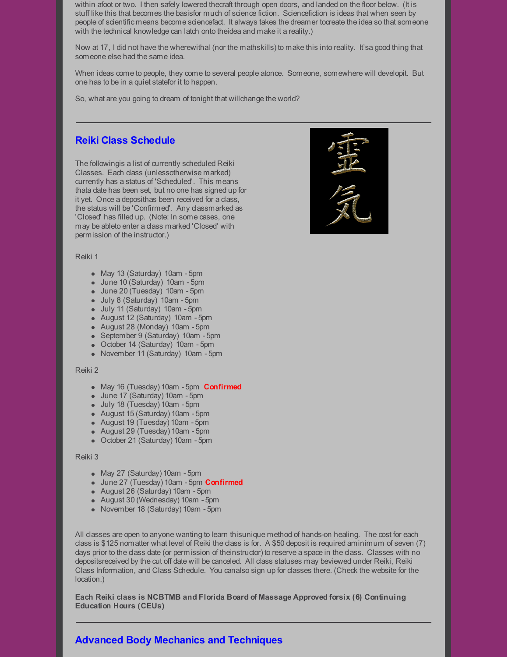within afoot or two. I then safely lowered thecraft through open doors, and landed on the floor below. (It is stuff like this that becomes the basisfor much of science fiction. Sciencefiction is ideas that when seen by people of scientific means become sciencefact. It always takes the dreamer tocreate the idea so that someone with the technical knowledge can latch onto theidea and make it a reality.)

Now at 17, I did not have the wherewithal (nor the mathskills) to make this into reality. It'sa good thing that someone else had the same idea.

When ideas come to people, they come to several people atonce. Someone, somewhere will developit. But one has to be in a quiet statefor it to happen.

So, what are you going to dream of tonight that willchange the world?

## **Reiki Class Schedule**

The followingis a list of currently scheduled Reiki Classes. Each class (unlessotherwise marked) currently has a status of 'Scheduled'. This means thata date has been set, but no one has signed up for it yet. Once a deposithas been received for a class, the status will be 'Confirmed'. Any classmarked as 'Closed' has filled up. (Note: In some cases, one may be ableto enter a class marked 'Closed' with permission of the instructor.)



#### Reiki 1

- May 13 (Saturday) 10am 5pm
- June 10 (Saturday) 10am 5pm
- June 20 (Tuesday) 10am 5pm
- July 8 (Saturday) 10am 5pm
- July 11 (Saturday) 10am 5pm
- August 12 (Saturday) 10am 5pm
- August 28 (Monday) 10am 5pm
- September 9 (Saturday) 10am 5pm
- October 14 (Saturday) 10am 5pm
- November 11 (Saturday) 10am 5pm

#### Reiki 2

- May 16 (Tuesday) 10am 5pm **Confirmed**
- June 17 (Saturday) 10am 5pm
- July 18 (Tuesday) 10am 5pm
- August 15 (Saturday) 10am 5pm
- August 19 (Tuesday) 10am 5pm
- August 29 (Tuesday) 10am 5pm
- October 21 (Saturday) 10am 5pm

#### Reiki 3

- May 27 (Saturday) 10am 5pm
- June 27 (Tuesday) 10am 5pm **Confirmed**
- August 26 (Saturday) 10am 5pm
- August 30 (Wednesday) 10am 5pm
- November 18 (Saturday) 10am 5pm

All classes are open to anyone wanting to learn thisunique method of hands-on healing. The cost for each class is \$125 nomatter what level of Reiki the class is for. A \$50 deposit is required aminimum of seven (7) days prior to the class date (or permission of theinstructor) to reserve a space in the class. Classes with no depositsreceived by the cut off date will be canceled. All class statuses may beviewed under Reiki, Reiki Class Information, and Class Schedule. You canalso sign up for classes there. (Check the website for the location.)

**Each Reiki class is NCBTMB and Florida Board of Massage Approved forsix (6) Continuing Education Hours (CEUs)**

# **Advanced Body Mechanics and Techniques**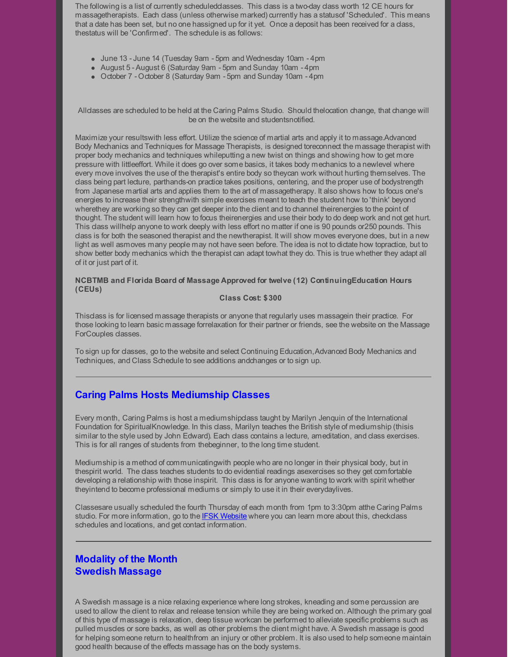The following is a list of currently scheduled dasses. This class is a two-day class worth 12 CE hours for massagetherapists. Each class (unless otherwise marked) currently has a statusof 'Scheduled'. This means that a date has been set, but no one hassigned up for it yet. Once a deposit has been received for a class, thestatus will be 'Confirmed'. The schedule is as follows:

- June 13 -June 14 (Tuesday 9am 5pm and Wednesday 10am 4pm
- August 5 August 6 (Saturday 9am 5pm and Sunday 10am 4pm
- October 7 October 8 (Saturday 9am 5pm and Sunday 10am 4pm

Allclasses are scheduled to be held at the Caring Palms Studio. Should thelocation change, that change will be on the website and studentsnotified.

Maximize your resultswith less effort. Utilize the science of martial arts and apply it to massage.Advanced Body Mechanics and Techniques for Massage Therapists, is designed toreconnect the massage therapist with proper body mechanics and techniques whileputting a new twist on things and showing how to get more pressure with littleeffort. While it does go over some basics, it takes body mechanics to a newlevel where every move involves the use of the therapist's entire body so theycan work without hurting themselves. The class being part lecture, parthands-on practice takes positions, centering, and the proper use of bodystrength from Japanese martial arts and applies them to the art of massagetherapy. It also shows how to focus one's energies to increase their strengthwith simple exercises meant to teach the student how to 'think' beyond wherethey are working so they can get deeper into the client and to channel theirenergies to the point of thought. The student will learn how to focus theirenergies and use their body to do deep work and not get hurt. This dass willhelp anyone to work deeply with less effort no matter if one is 90 pounds or 250 pounds. This class is for both the seasoned therapist and the newtherapist. It will show moves everyone does, but in a new light as well asmoves many people may not have seen before. The idea is not to dictate how topractice, but to show better body mechanics which the therapist can adapt towhat they do. This is true whether they adapt all of it or just part of it.

## **NCBTMB and Florida Board of Massage Approved for twelve (12) ContinuingEducation Hours (CEUs)**

## **Class Cost: \$300**

Thisclass is for licensed massage therapists or anyone that regularly uses massagein their practice. For those looking to learn basic massage forrelaxation for their partner or friends, see the website on the Massage ForCouples classes.

To sign up for classes, go to the website and select Continuing Education,Advanced Body Mechanics and Techniques, and Class Schedule to see additions andchanges or to sign up.

# **Caring Palms Hosts Mediumship Classes**

Every month, Caring Palms is host a mediumshipclass taught by Marilyn Jenquin of the International Foundation for SpiritualKnowledge. In this dass, Marilyn teaches the British style of mediumship (thisis similar to the style used by John Edward). Each class contains a lecture, ameditation, and class exercises. This is for all ranges of students from thebeginner, to the long time student.

Mediumship is a method of communicatingwith people who are no longer in their physical body, but in thespirit world. The class teaches students to do evidential readings asexercises so they get comfortable developing a relationship with those inspirit. This class is for anyone wanting to work with spirit whether theyintend to become professional mediums or simply to use it in their everydaylives.

Classesare usually scheduled the fourth Thursday of each month from 1pm to 3:30pm atthe Caring Palms studio. For more information, go to the IFSK [Website](http://www.ifsk.org) where you can learn more about this, checkclass schedules and locations, and get contact information.

# **Modality of the Month Swedish Massage**

A Swedish massage is a nice relaxing experience where long strokes, kneading and some percussion are used to allow the client to relax and release tension while they are being worked on. Although the primary goal of this type of massage is relaxation, deep tissue workcan be performed to alleviate specific problems such as pulled muscles or sore backs, as well as other problems the client might have. A Swedish massage is good for helping someone return to healthfrom an injury or other problem. It is also used to help someone maintain good health because of the effects massage has on the body systems.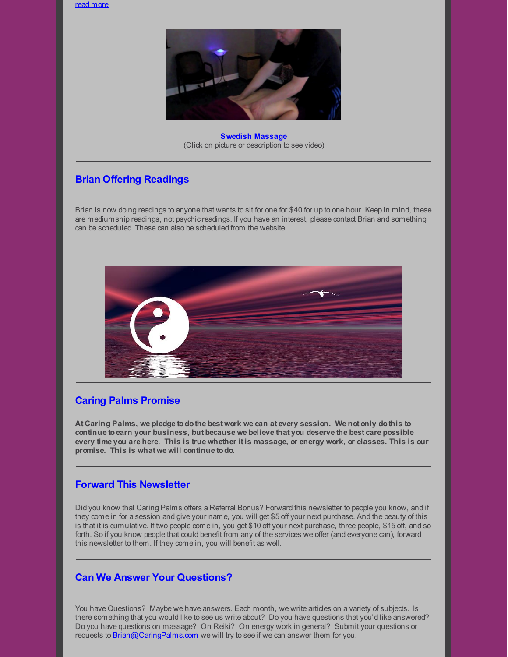read [more](http://caringpalms.com/article_swedish.html)



**Swedish [Massage](https://www.youtube.com/watch?v=PbEZa9W0MNM)** (Click on picture or description to see video)

# **Brian Offering Readings**

Brian is now doing readings to anyone that wants to sit for one for \$40 for up to one hour. Keep in mind, these are mediumship readings, not psychic readings. If you have an interest, please contact Brian and something can be scheduled. These can also be scheduled from the website.



# **Caring Palms Promise**

**At Caring Palms, we pledge todothe best work we can at every session. We not only dothis to continue toearn your business, but because we believe that you deserve the best care possible** every time you are here. This is true whether it is massage, or energy work, or classes. This is our **promise. This is what we will continue todo.**

## **Forward This Newsletter**

Did you know that Caring Palms offers a Referral Bonus? Forward this newsletter to people you know, and if they come in for a session and give your name, you will get \$5 off your next purchase. And the beauty of this is that it is cumulative. If two people come in, you get \$10 off your next purchase, three people, \$15 off, and so forth. So if you know people that could benefit from any of the services we offer (and everyone can), forward this newsletter to them. If they come in, you will benefit as well.

## **Can We Answer Your Questions?**

You have Questions? Maybe we have answers. Each month, we write articles on a variety of subjects. Is there something that you would like to see us write about? Do you have questions that you'd like answered? Do you have questions on massage? On Reiki? On energy work in general? Submit your questions or requests to [Brian@CaringPalms.com](mailto:brian@caringpalms.com) we will try to see if we can answer them for you.